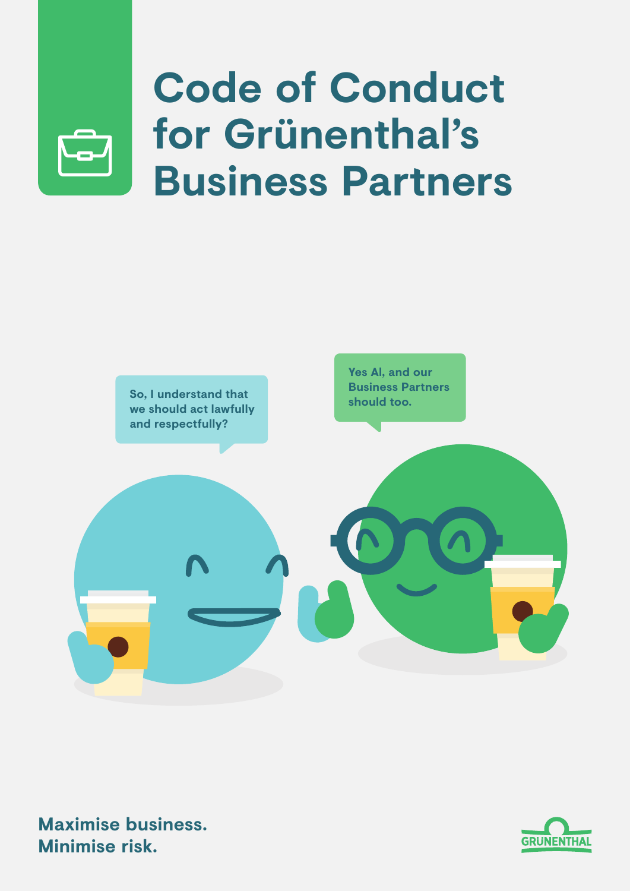

## **Code of Conduct for Grünenthal's Business Partners**





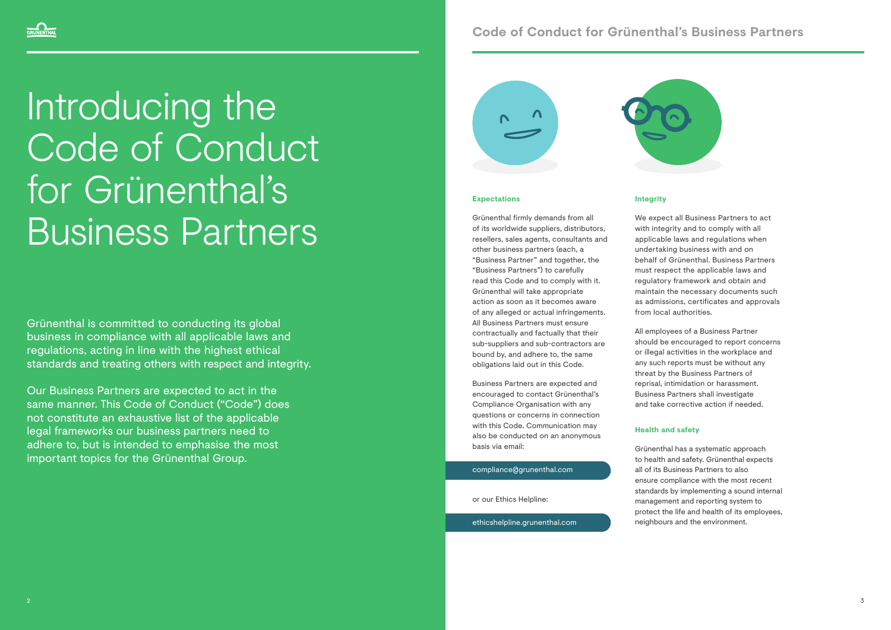### **Code of Conduct for Grünenthal's Business Partners**

**Integrity**

We expect all Business Partners to act with integrity and to comply with all applicable laws and regulations when undertaking business with and on behalf of Grünenthal. Business Partners must respect the applicable laws and regulatory framework and obtain and maintain the necessary documents such as admissions, certificates and approvals from local authorities.

All employees of a Business Partner should be encouraged to report concerns or illegal activities in the workplace and any such reports must be without any threat by the Business Partners of reprisal, intimidation or harassment. Business Partners shall investigate and take corrective action if needed.

#### **Health and safety**

Grünenthal has a systematic approach to health and safety. Grünenthal expects all of its Business Partners to also ensure compliance with the most recent standards by implementing a sound internal management and reporting system to protect the life and health of its employees, neighbours and the environment.

Grünenthal is committed to conducting its global business in compliance with all applicable laws and regulations, acting in line with the highest ethical standards and treating others with respect and integrity.

Our Business Partners are expected to act in the same manner. This Code of Conduct ("Code") does not constitute an exhaustive list of the applicable legal frameworks our business partners need to adhere to, but is intended to emphasise the most important topics for the Grünenthal Group.





# Introducing the Code of Conduct for Grünenthal's Business Partners

#### **Expectations**

Grünenthal firmly demands from all of its worldwide suppliers, distributors, resellers, sales agents, consultants and other business partners (each, a "Business Partner" and together, the "Business Partners") to carefully read this Code and to comply with it. Grünenthal will take appropriate action as soon as it becomes aware of any alleged or actual infringements. All Business Partners must ensure contractually and factually that their sub-suppliers and sub-contractors are bound by, and adhere to, the same obligations laid out in this Code.

Business Partners are expected and encouraged to contact Grünenthal's Compliance Organisation with any questions or concerns in connection with this Code. Communication may also be conducted on an anonymous basis via email:

compliance@grunenthal.com

or our Ethics Helpline:

ethicshelpline.grunenthal.com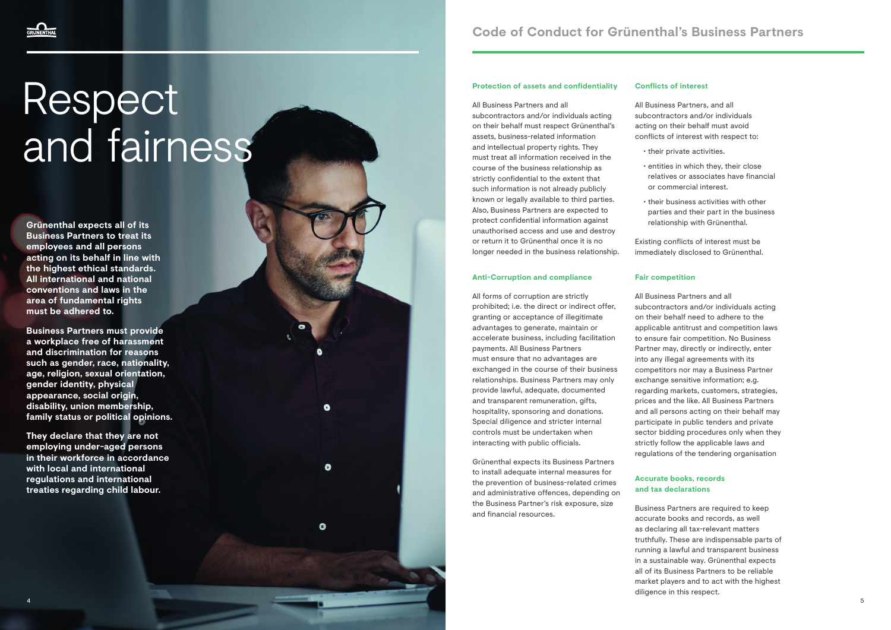

# Respect and fairness

#### **Protection of assets and confidentiality**

#### All Business Partners and all subcontractors and/or individuals acting on their behalf must respect Grünenthal's assets, business-related information and intellectual property rights. They must treat all information received in the course of the business relationship as strictly confidential to the extent that such information is not already publicly known or legally available to third parties. Also, Business Partners are expected to protect confidential information against unauthorised access and use and destroy

or return it to Grünenthal once it is no longer needed in the business relationship.

#### **Anti-Corruption and compliance**

All forms of corruption are strictly prohibited; i.e. the direct or indirect offer, granting or acceptance of illegitimate advantages to generate, maintain or accelerate business, including facilitation payments. All Business Partners must ensure that no advantages are exchanged in the course of their business relationships. Business Partners may only provide lawful, adequate, documented and transparent remuneration, gifts, hospitality, sponsoring and donations. Special diligence and stricter internal controls must be undertaken when interacting with public officials.

 $\bullet$ 

 $\bullet$ 

O

Grünenthal expects its Business Partners to install adequate internal measures for the prevention of business-related crimes and administrative offences, depending on the Business Partner's risk exposure, size and financial resources.

#### **Conflicts of interest**

All Business Partners, and all subcontractors and/or individuals acting on their behalf must avoid conflicts of interest with respect to:

- 
- 
- 

• their private activities.

• entities in which they, their close relatives or associates have financial or commercial interest.

• their business activities with other parties and their part in the business relationship with Grünenthal.

Existing conflicts of interest must be immediately disclosed to Grünenthal.

#### **Fair competition**

All Business Partners and all subcontractors and/or individuals acting on their behalf need to adhere to the applicable antitrust and competition laws to ensure fair competition. No Business Partner may, directly or indirectly, enter into any illegal agreements with its competitors nor may a Business Partner exchange sensitive information; e.g. regarding markets, customers, strategies, prices and the like. All Business Partners and all persons acting on their behalf may participate in public tenders and private sector bidding procedures only when they strictly follow the applicable laws and regulations of the tendering organisation

#### **Accurate books, records and tax declarations**

Business Partners are required to keep accurate books and records, as well as declaring all tax-relevant matters truthfully. These are indispensable parts of running a lawful and transparent business in a sustainable way. Grünenthal expects all of its Business Partners to be reliable market players and to act with the highest diligence in this respect.

**Grünenthal expects all of its Business Partners to treat its employees and all persons acting on its behalf in line with the highest ethical standards. All international and national conventions and laws in the area of fundamental rights must be adhered to.** 

**Business Partners must provide a workplace free of harassment and discrimination for reasons such as gender, race, nationality, age, religion, sexual orientation, gender identity, physical appearance, social origin, disability, union membership, family status or political opinions.** 

**They declare that they are not employing under-aged persons in their workforce in accordance with local and international regulations and international treaties regarding child labour.**

### **Code of Conduct for Grünenthal's Business Partners**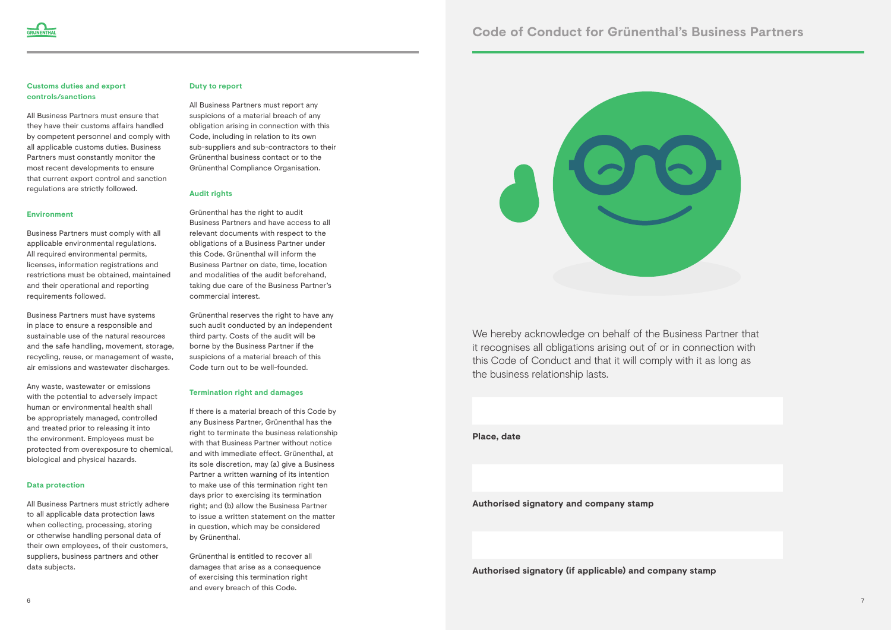#### **Customs duties and export controls/sanctions**

All Business Partners must ensure that they have their customs affairs handled by competent personnel and comply with all applicable customs duties. Business Partners must constantly monitor the most recent developments to ensure that current export control and sanction regulations are strictly followed.

#### **Environment**

Business Partners must comply with all applicable environmental regulations. All required environmental permits, licenses, information registrations and restrictions must be obtained, maintained and their operational and reporting requirements followed.

Business Partners must have systems in place to ensure a responsible and sustainable use of the natural resources and the safe handling, movement, storage, recycling, reuse, or management of waste, air emissions and wastewater discharges.

Any waste, wastewater or emissions with the potential to adversely impact human or environmental health shall be appropriately managed, controlled and treated prior to releasing it into the environment. Employees must be protected from overexposure to chemical, biological and physical hazards.

#### **Data protection**

All Business Partners must strictly adhere to all applicable data protection laws when collecting, processing, storing or otherwise handling personal data of their own employees, of their customers, suppliers, business partners and other data subjects.

#### **Duty to report**

All Business Partners must report any suspicions of a material breach of any obligation arising in connection with this Code, including in relation to its own sub-suppliers and sub-contractors to their Grünenthal business contact or to the Grünenthal Compliance Organisation.

#### **Audit rights**

Grünenthal has the right to audit Business Partners and have access to all relevant documents with respect to the obligations of a Business Partner under this Code. Grünenthal will inform the Business Partner on date, time, location and modalities of the audit beforehand, taking due care of the Business Partner's commercial interest.

Grünenthal reserves the right to have any such audit conducted by an independent third party. Costs of the audit will be borne by the Business Partner if the suspicions of a material breach of this Code turn out to be well-founded.

#### **Termination right and damages**

If there is a material breach of this Code by any Business Partner, Grünenthal has the right to terminate the business relationship with that Business Partner without notice and with immediate effect. Grünenthal, at its sole discretion, may (a) give a Business Partner a written warning of its intention to make use of this termination right ten days prior to exercising its termination right; and (b) allow the Business Partner to issue a written statement on the matter in question, which may be considered by Grünenthal.

Grünenthal is entitled to recover all damages that arise as a consequence of exercising this termination right and every breach of this Code.



We hereby acknowledge on behalf of the Business Partner that it recognises all obligations arising out of or in connection with this Code of Conduct and that it will comply with it as long as the business relationship lasts.

**Place, date**

#### **Authorised signatory and company stamp**

**Authorised signatory (if applicable) and company stamp**